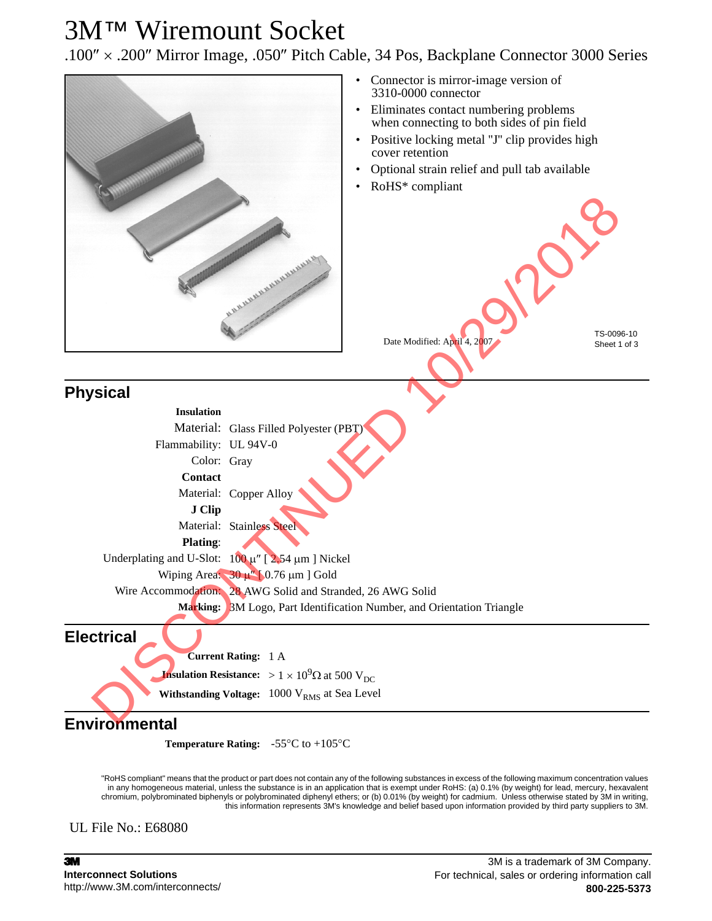## 3M™ Wiremount Socket

.100″ × .200″ Mirror Image, .050″ Pitch Cable, 34 Pos, Backplane Connector 3000 Series



**Withstanding Voltage:** 1000 V<sub>RMS</sub> at Sea Level

**Environmental**

**Temperature Rating:** -55°C to +105°C

"RoHS compliant" means that the product or part does not contain any of the following substances in excess of the following maximum concentration values in any homogeneous material, unless the substance is in an application that is exempt under RoHS: (a) 0.1% (by weight) for lead, mercury, hexavalent chromium, polybrominated biphenyls or polybrominated diphenyl ethers; or (b) 0.01% (by weight) for cadmium. Unless otherwise stated by 3M in writing, this information represents 3M's knowledge and belief based upon information provided by third party suppliers to 3M.

UL File No.: E68080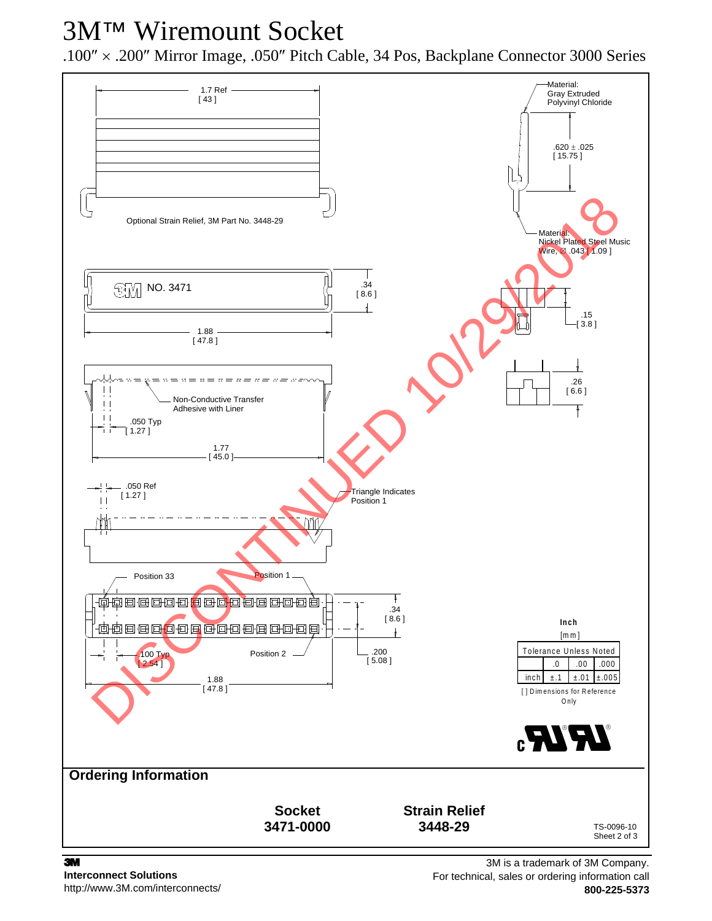# 3M™ Wiremount Socket

.100″ × .200″ Mirror Image, .050″ Pitch Cable, 34 Pos, Backplane Connector 3000 Series

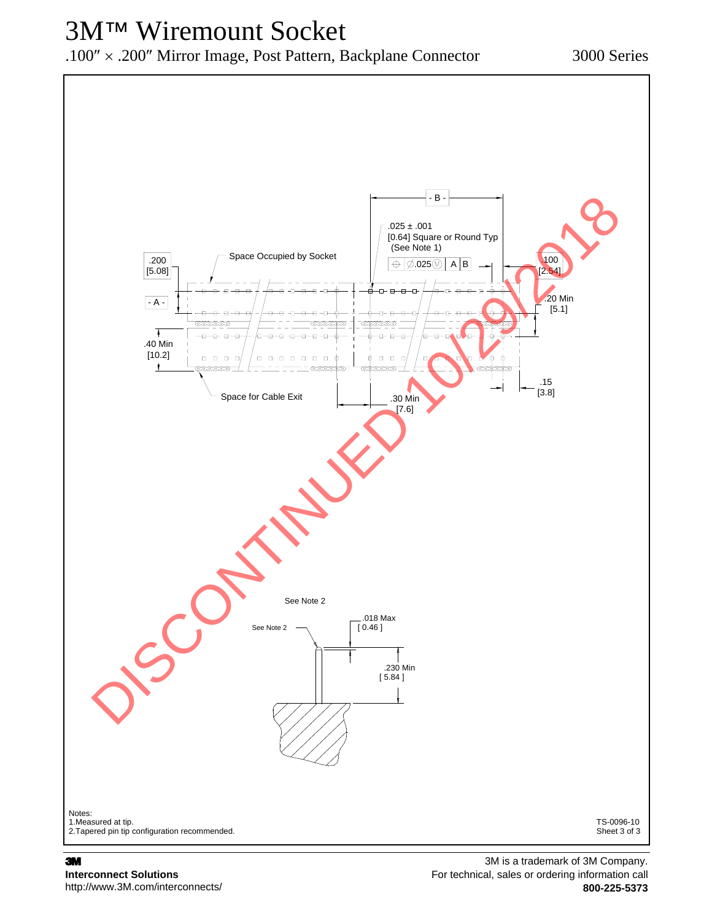# 3M™ Wiremount Socket

.100″ × .200″ Mirror Image, Post Pattern, Backplane Connector 3000 Series